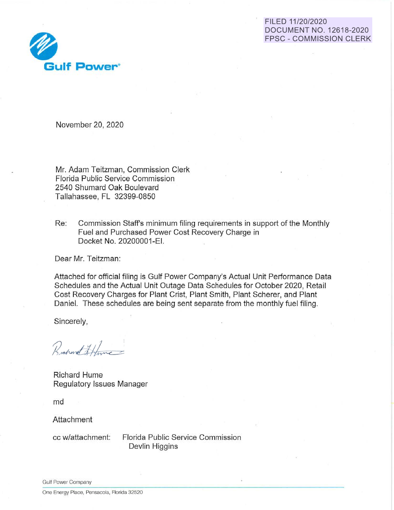# FILED **11/20/2020 DOCUMENT NO. 12618-2020 FPSC** - **COMMISSION CLERK**



November 20, 2020

Mr. Adam Teitzman; Commission Clerk Florida Public Service Commission 2540 Shumard Oak Boulevard Tallahassee, FL 32399-0850

Re: Commission Staff's minimum filing requirements in support of the Monthly Fuel and Purchased Power Cost Recovery Charge in Docket No. 20200001-EI.

Dear Mr. Teitzman:

Attached for official filing is Gulf Power Company's Actual Unit Performance Data Schedules and the Actual Unit Outage Data Schedules for October 2020, Retail Cost Recovery Charges for Plant Crist, Plant Smith, Plant Scherer, and Plant Daniel. These schedules are being sent separate from the monthly fuel filing.

Sincerely,

Rochard Athine

Richard Hume Regulatory Issues Manager

md

Attachment

cc w/attachment: Florida Public Service Commission Devlin Higgins

Gulf Power Company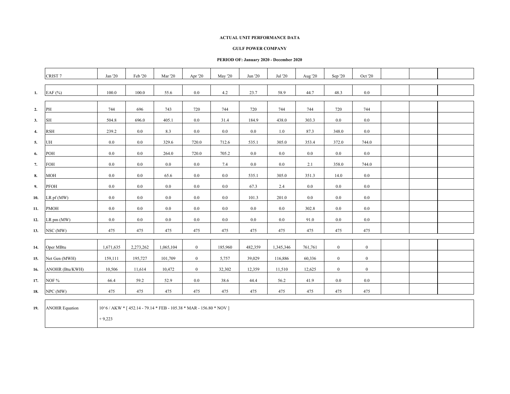#### **GULF POWER COMPANY**

|     | CRIST <sub>7</sub>    | Jan '20   | Feb '20                                                            | Mar '20   | Apr '20          | May '20 | Jun '20 | Jul '20   | Aug '20 | Sep '20          | Oct '20      |  |  |
|-----|-----------------------|-----------|--------------------------------------------------------------------|-----------|------------------|---------|---------|-----------|---------|------------------|--------------|--|--|
| 1.  | EAF (%)               | 100.0     | 100.0                                                              | 55.6      | 0.0              | 4.2     | 23.7    | 58.9      | 44.7    | 48.3             | $0.0\,$      |  |  |
| 2.  | PH                    | 744       | 696                                                                | 743       | 720              | 744     | 720     | 744       | 744     | 720              | 744          |  |  |
| 3.  | SH                    | 504.8     | 696.0                                                              | 405.1     | 0.0              | 31.4    | 184.9   | 438.0     | 303.3   | 0.0              | 0.0          |  |  |
| 4.  | <b>RSH</b>            | 239.2     | 0.0                                                                | 8.3       | 0.0              | $0.0\,$ | 0.0     | 1.0       | 87.3    | 348.0            | 0.0          |  |  |
| 5.  | UH                    | 0.0       | $0.0\,$                                                            | 329.6     | 720.0            | 712.6   | 535.1   | 305.0     | 353.4   | 372.0            | 744.0        |  |  |
| 6.  | POH                   | 0.0       | $0.0\,$                                                            | 264.0     | 720.0            | 705.2   | 0.0     | 0.0       | 0.0     | $0.0\,$          | 0.0          |  |  |
| 7.  | FOH                   | 0.0       | $0.0\,$                                                            | 0.0       | 0.0              | 7.4     | $0.0\,$ | $0.0\,$   | 2.1     | 358.0            | 744.0        |  |  |
| 8.  | <b>MOH</b>            | 0.0       | $0.0\,$                                                            | 65.6      | 0.0              | 0.0     | 535.1   | 305.0     | 351.3   | 14.0             | $0.0\,$      |  |  |
| 9.  | PFOH                  | $0.0\,$   | $0.0\,$                                                            | $0.0\,$   | 0.0              | $0.0\,$ | 67.3    | 2.4       | $0.0\,$ | $0.0\,$          | $0.0\,$      |  |  |
| 10. | LR pf (MW)            | $0.0\,$   | $0.0\,$                                                            | $0.0\,$   | 0.0              | $0.0\,$ | 101.3   | 201.0     | $0.0\,$ | $0.0\,$          | 0.0          |  |  |
| 11. | <b>PMOH</b>           | 0.0       | $0.0\,$                                                            | $0.0\,$   | $0.0\,$          | $0.0\,$ | 0.0     | $0.0\,$   | 302.8   | 0.0              | $0.0\,$      |  |  |
| 12. | LR pm (MW)            | 0.0       | 0.0                                                                | 0.0       | $0.0\,$          | $0.0\,$ | 0.0     | $0.0\,$   | 91.0    | 0.0              | 0.0          |  |  |
| 13. | NSC (MW)              | 475       | 475                                                                | 475       | 475              | 475     | 475     | 475       | 475     | 475              | 475          |  |  |
| 14. | Oper MBtu             | 1,671,635 | 2,273,262                                                          | 1,065,104 | $\overline{0}$   | 185,960 | 482,359 | 1,345,346 | 761,761 | $\overline{0}$   | $\mathbf{0}$ |  |  |
| 15. | Net Gen (MWH)         | 159,111   | 195,727                                                            | 101,709   | $\boldsymbol{0}$ | 5,757   | 39,029  | 116,886   | 60,336  | $\boldsymbol{0}$ | $\mathbf{0}$ |  |  |
| 16. | ANOHR (Btu/KWH)       | 10,506    | 11,614                                                             | 10,472    | $\overline{0}$   | 32,302  | 12,359  | 11,510    | 12,625  | $\mathbf{0}$     | $\mathbf{0}$ |  |  |
| 17. | NOF %                 | 66.4      | 59.2                                                               | 52.9      | 0.0              | 38.6    | 44.4    | 56.2      | 41.9    | 0.0              | $0.0\,$      |  |  |
| 18. | NPC (MW)              | 475       | 475                                                                | 475       | 475              | 475     | 475     | 475       | 475     | 475              | 475          |  |  |
| 19. | <b>ANOHR Equation</b> | $+9,223$  | 10^6 / AKW * [452.14 - 79.14 * FEB - 105.38 * MAR - 156.80 * NOV ] |           |                  |         |         |           |         |                  |              |  |  |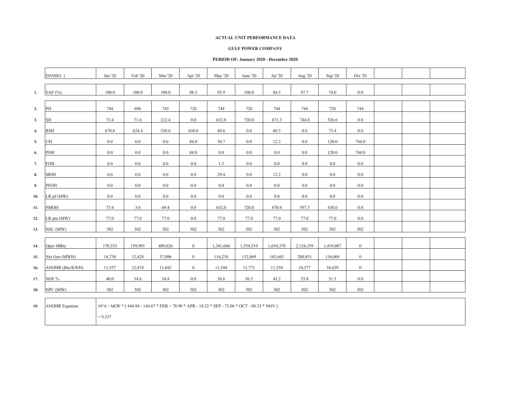#### **GULF POWER COMPANY**

|     | <b>DANIEL 1</b>       | Jan '20                                                                                                   | Feb '20 | <b>Mar</b> '20 | Apr '20        | <b>May '20</b> | June '20  | Jul '20   | Aug '20   | Sep '20   | Oct '20      |  |  |
|-----|-----------------------|-----------------------------------------------------------------------------------------------------------|---------|----------------|----------------|----------------|-----------|-----------|-----------|-----------|--------------|--|--|
| 1.  | EAF $(%)$             | 100.0                                                                                                     | 100.0   | 100.0          | 88.3           | 95.9           | 100.0     | 84.5      | 87.7      | 74.0      | $0.0\,$      |  |  |
| 2.  | PH                    | 744                                                                                                       | 696     | 743            | 720            | 744            | 720       | 744       | 744       | 720       | 744          |  |  |
| 3.  | <b>SH</b>             | 73.4                                                                                                      | 71.6    | 212.4          | 0.0            | 632.8          | 720.0     | 671.3     | 744.0     | 526.6     | 0.0          |  |  |
| 4.  | <b>RSH</b>            | 670.6                                                                                                     | 624.4   | 530.6          | 636.0          | 80.6           | $0.0\,$   | 60.5      | 0.0       | 73.4      | 0.0          |  |  |
| 5.  | UH                    | $0.0\,$                                                                                                   | $0.0\,$ | 0.0            | 84.0           | 30.7           | $0.0\,$   | 12.2      | 0.0       | 120.0     | 744.0        |  |  |
| 6.  | POH                   | 0.0                                                                                                       | $0.0\,$ | 0.0            | 84.0           | 0.0            | $0.0\,$   | $0.0\,$   | 0.0       | 120.0     | 744.0        |  |  |
| 7.  | FOH                   | $0.0\,$                                                                                                   | $0.0\,$ | 0.0            | 0.0            | 1.3            | $0.0\,$   | $0.0\,$   | 0.0       | $0.0\,$   | $0.0\,$      |  |  |
| 8.  | <b>MOH</b>            | 0.0                                                                                                       | $0.0\,$ | 0.0            | 0.0            | 29.4           | 0.0       | 12.2      | 0.0       | $0.0\,$   | 0.0          |  |  |
| 9.  | PFOH                  | $0.0\,$                                                                                                   | $0.0\,$ | 0.0            | $0.0\,$        | 0.0            | $0.0\,$   | $0.0\,$   | 0.0       | $0.0\,$   | $0.0\,$      |  |  |
| 10. | $LR$ pf (MW)          | 0.0                                                                                                       | $0.0\,$ | 0.0            | 0.0            | 0.0            | $0.0\,$   | $0.0\,$   | 0.0       | 0.0       | 0.0          |  |  |
| 11. | <b>PMOH</b>           | 73.4                                                                                                      | 3.0     | 69.4           | 0.0            | 632.0          | 720.0     | 670.8     | 597.3     | 438.0     | 0.0          |  |  |
| 12. | LR pm (MW)            | 77.0                                                                                                      | 77.0    | 77.0           | 0.0            | 77.0           | 77.0      | 77.0      | 77.0      | 77.0      | 0.0          |  |  |
| 13. | NSC (MW)              | 502                                                                                                       | 502     | 502            | 502            | 502            | 502       | 502       | 502       | 502       | 502          |  |  |
| 14. | Oper MBtu             | 170,333                                                                                                   | 159,995 | 409,626        | $\overline{0}$ | 1,341,666      | 1,554,519 | 1,654,378 | 2,124,359 | 1,419,087 | $\mathbf{0}$ |  |  |
| 15. | Net Gen (MWH)         | 14,738                                                                                                    | 12,428  | 37,096         | $\overline{0}$ | 116,218        | 132,069   | 145,663   | 200,851   | 136,068   | $\mathbf{0}$ |  |  |
| 16. | ANOHR (Btu/KWH)       | 11,557                                                                                                    | 12,874  | 11,042         | $\overline{0}$ | 11,544         | 11,771    | 11,358    | 10,577    | 10,429    | $\mathbf{0}$ |  |  |
| 17. | NOF %                 | 40.0                                                                                                      | 34.6    | 34.8           | 0.0            | 36.6           | 36.5      | 43.2      | 53.8      | 51.5      | 0.0          |  |  |
| 18. | NPC (MW)              | 502                                                                                                       | 502     | 502            | 502            | 502            | 502       | 502       | 502       | 502       | 502          |  |  |
| 19. | <b>ANOHR Equation</b> | 10^6 / AKW * [444.94 - 144.67 * FEB + 78.90 * APR - 18.22 * SEP - 72.06 * OCT - 80.33 * NOV ]<br>$+9,337$ |         |                |                |                |           |           |           |           |              |  |  |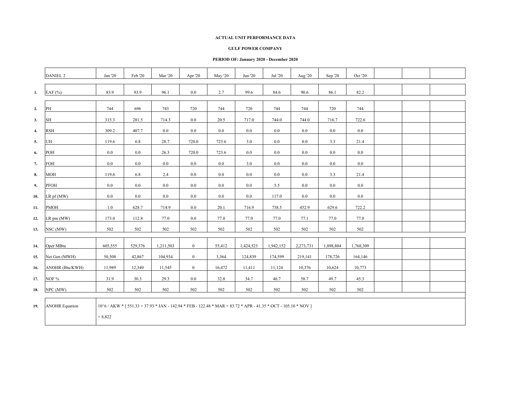#### **GULF POWER COMPANY**

|              | <b>DANIEL 2</b>       | Jan '20  | Feb '20 | Mar $20$  | Apr '20        | <b>May '20</b> | Jun '20                                                                                                       | Jul '20   | Aug '20   | Sep '20   | Oct '20   |  |  |
|--------------|-----------------------|----------|---------|-----------|----------------|----------------|---------------------------------------------------------------------------------------------------------------|-----------|-----------|-----------|-----------|--|--|
| 1.           | EAF $(%)$             | 83.9     | 93.9    | 96.1      | 0.0            | 2.7            | 99.6                                                                                                          | 84.6      | 90.6      | 86.1      | 82.2      |  |  |
| 2.           | PH                    | 744      | 696     | 743       | 720            | 744            | 720                                                                                                           | 744       | 744       | 720       | 744       |  |  |
| 3.           | SH                    | 315.3    | 281.5   | 714.3     | 0.0            | 20.5           | 717.0                                                                                                         | 744.0     | 744.0     | 716.7     | 722.6     |  |  |
| $\mathbf{4}$ | <b>RSH</b>            | 309.2    | 407.7   | $0.0\,$   | 0.0            | 0.0            | $0.0\,$                                                                                                       | $0.0\,$   | 0.0       | 0.0       | $0.0\,$   |  |  |
| 5.           | UH                    | 119.6    | 6.8     | 28.7      | 720.0          | 723.6          | 3.0                                                                                                           | $0.0\,$   | 0.0       | 3.3       | 21.4      |  |  |
| 6.           | POH                   | 0.0      | $0.0\,$ | 26.3      | 720.0          | 723.6          | 0.0                                                                                                           | $0.0\,$   | 0.0       | 0.0       | 0.0       |  |  |
| 7.           | FOH                   | $0.0\,$  | $0.0\,$ | 0.0       | 0.0            | 0.0            | 3.0                                                                                                           | $0.0\,$   | 0.0       | $0.0\,$   | 0.0       |  |  |
| 8.           | MOH                   | 119.6    | 6.8     | 2.4       | $0.0\,$        | $0.0\,$        | 0.0                                                                                                           | $0.0\,$   | 0.0       | 3.3       | 21.4      |  |  |
| 9.           | PFOH                  | 0.0      | $0.0\,$ | 0.0       | 0.0            | $0.0\,$        | 0.0                                                                                                           | 5.5       | 0.0       | 0.0       | 0.0       |  |  |
| 10.          | $LR$ pf (MW)          | $0.0\,$  | $0.0\,$ | 0.0       | 0.0            | 0.0            | 0.0                                                                                                           | 117.0     | $0.0\,$   | 0.0       | 0.0       |  |  |
| 11.          | <b>PMOH</b>           | 1.0      | 628.7   | 714.9     | $0.0\,$        | 20.1           | 716.9                                                                                                         | 738.5     | 452.9     | 629.6     | 722.2     |  |  |
| 12.          | LR pm (MW)            | 173.0    | 112.8   | 77.0      | $0.0\,$        | 77.0           | 77.0                                                                                                          | 77.0      | 77.1      | 77.0      | 77.0      |  |  |
| 13.          | NSC (MW)              | 502      | 502     | 502       | 502            | 502            | 502                                                                                                           | 502       | 502       | 502       | 502       |  |  |
| 14.          | Oper MBtu             | 605,555  | 529,376 | 1,211,503 | $\overline{0}$ | 55,412         | 1,424,523                                                                                                     | 1,942,152 | 2,273,731 | 1,898,804 | 1,768,309 |  |  |
| 15.          | Net Gen (MWH)         | 50,508   | 42,867  | 104,934   | $\overline{0}$ | 3,364          | 124,839                                                                                                       | 174,599   | 219,141   | 178,726   | 164,146   |  |  |
| 16.          | ANOHR (Btu/KWH)       | 11,989   | 12,349  | 11,545    | $\overline{0}$ | 16,472         | 11,411                                                                                                        | 11,124    | 10,376    | 10,624    | 10,773    |  |  |
| 17.          | NOF %                 | 31.9     | 30.3    | 29.3      | 0.0            | 32.8           | 34.7                                                                                                          | 46.7      | 58.7      | 49.7      | 45.3      |  |  |
| 18.          | NPC (MW)              | 502      | 502     | 502       | 502            | 502            | 502                                                                                                           | 502       | 502       | 502       | 502       |  |  |
| 19.          | <b>ANOHR Equation</b> | $+8,822$ |         |           |                |                | 10^6 / AKW * [551.33 + 37.93 * JAN - 142.94 * FEB - 122.48 * MAR + 83.72 * APR - 41.35 * OCT - 105.10 * NOV ] |           |           |           |           |  |  |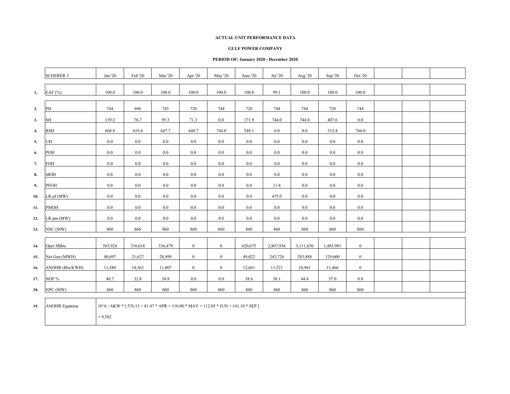#### **GULF POWER COMPANY**

|     | <b>SCHERER 3</b>      | Jan '20          | Feb '20     | Mar $20$    | Apr '20                      | May '20                                                                                       | June '20         | Jul '20     | Aug '20     | Sep '20   | Oct '20          |  |  |
|-----|-----------------------|------------------|-------------|-------------|------------------------------|-----------------------------------------------------------------------------------------------|------------------|-------------|-------------|-----------|------------------|--|--|
| 1.  | EAF $(%)$             | 100.0            | 100.0       | 100.0       | 100.0                        | 100.0                                                                                         | 100.0            | 99.1        | 100.0       | 100.0     | 100.0            |  |  |
| 2.  | PH                    | 744              | 696         | 743         | 720                          | 744                                                                                           | 720              | 744         | 744         | 720       | 744              |  |  |
| 3.  | <b>SH</b>             | 139.2            | 76.7        | 95.3        | 71.3                         | $0.0\,$                                                                                       | 171.9            | 744.0       | 744.0       | 407.6     | $0.0\,$          |  |  |
| 4.  | <b>RSH</b>            | 604.8            | 619.4       | 647.7       | 648.7                        | 744.0                                                                                         | 548.1            | $0.0\,$     | 0.0         | 312.4     | 744.0            |  |  |
| 5.  | UH                    | 0.0              | $0.0\,$     | 0.0         | 0.0                          | 0.0                                                                                           | 0.0              | $0.0\,$     | 0.0         | 0.0       | $0.0\,$          |  |  |
| 6.  | POH                   | 0.0              | $0.0\,$     | 0.0         | $0.0\,$                      | $0.0\,$                                                                                       | 0.0              | $0.0\,$     | 0.0         | $0.0\,$   | $0.0\,$          |  |  |
| 7.  | <b>FOH</b>            | 0.0              | $0.0\,$     | 0.0         | $0.0\,$                      | 0.0                                                                                           | 0.0              | $0.0\,$     | 0.0         | $0.0\,$   | 0.0              |  |  |
| 8.  | MOH                   | 0.0              | $0.0\,$     | 0.0         | $0.0\,$                      | $0.0\,$                                                                                       | 0.0              | $0.0\,$     | 0.0         | $0.0\,$   | 0.0              |  |  |
| 9.  | PFOH                  | 0.0              | $0.0\,$     | 0.0         | $0.0\,$                      | $0.0\,$                                                                                       | 0.0              | 11.8        | 0.0         | $0.0\,$   | $0.0\,$          |  |  |
| 10. | $LR$ pf (MW)          | 0.0              | $0.0\,$     | 0.0         | $0.0\,$                      | $0.0\,$                                                                                       | 0.0              | 475.0       | 0.0         | $0.0\,$   | 0.0              |  |  |
| 11. | PMOH                  | $0.0\,$          | $0.0\,$     | 0.0         | $0.0\,$                      | $0.0\,$                                                                                       | $0.0\,$          | $0.0\,$     | 0.0         | $0.0\,$   | $0.0\,$          |  |  |
| 12. | LR pm (MW)            | 0.0              | $0.0\,$     | 0.0         | $0.0\,$                      | $0.0\,$                                                                                       | 0.0              | $0.0\,$     | 0.0         | $0.0\,$   | $0.0\,$          |  |  |
| 13. | NSC (MW)              | 860              | 860         | 860         | 860                          | 860                                                                                           | 860              | 860         | 860         | 860       | 860              |  |  |
|     |                       |                  |             |             |                              |                                                                                               |                  |             |             |           |                  |  |  |
| 14. | Oper MBtu             | 563,924          | 310,618     | 336,479     | $\mathbf{0}$                 | $\mathbf{0}$                                                                                  | 620,675          | 2,807,936   | 3,111,830   | 1,485,981 | $\boldsymbol{0}$ |  |  |
| 15. | Net Gen (MWH)         | 48,697<br>11,580 | 21,627      | 28,499      | $\mathbf{0}$<br>$\mathbf{0}$ | $\mathbf{0}$<br>$\mathbf{0}$                                                                  | 49,022<br>12,661 | 243,726     | 283,888     | 129,600   | $\boldsymbol{0}$ |  |  |
| 16. | ANOHR (Btu/KWH)       |                  | 14,363      | 11,807      |                              |                                                                                               |                  | 11,521      | 10,961      | 11,466    | $\boldsymbol{0}$ |  |  |
| 17. | NOF %                 | 40.7<br>860      | 32.8<br>860 | 34.8<br>860 | $0.0\,$<br>860               | $0.0\,$<br>860                                                                                | 38.6<br>860      | 38.1<br>860 | 44.4<br>860 | 37.0      | $0.0\,$          |  |  |
| 18. | NPC (MW)              |                  |             |             |                              |                                                                                               |                  |             |             | 860       | 860              |  |  |
| 19. | <b>ANOHR Equation</b> |                  |             |             |                              | $10^{6}/$ AKW * [ $576.13 + 81.47$ * APR + $110.08$ * MAY + $112.05$ * JUN + $141.10$ * SEP ] |                  |             |             |           |                  |  |  |
|     |                       | $+9,502$         |             |             |                              |                                                                                               |                  |             |             |           |                  |  |  |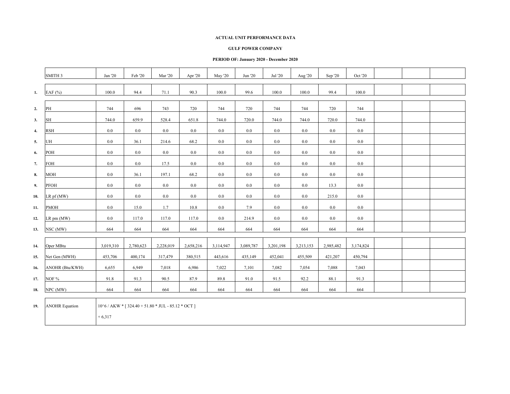#### **GULF POWER COMPANY**

### **PERIOD OF: January 2020 - December 2020**

|              | SMITH <sub>3</sub>    | Jan '20                                                 | Feb '20   | <b>Mar</b> '20 | Apr '20   | May '20   | Jun '20   | Jul '20   | Aug '20   | Sep '20   | Oct '20   |  |  |
|--------------|-----------------------|---------------------------------------------------------|-----------|----------------|-----------|-----------|-----------|-----------|-----------|-----------|-----------|--|--|
| 1.           | EAF $(% )$            | 100.0                                                   | 94.4      | 71.1           | 90.3      | 100.0     | 99.6      | 100.0     | 100.0     | 99.4      | 100.0     |  |  |
| 2.           | PH                    | 744                                                     | 696       | 743            | 720       | 744       | 720       | 744       | 744       | 720       | 744       |  |  |
| 3.           | SH                    | 744.0                                                   | 659.9     | 528.4          | 651.8     | 744.0     | 720.0     | 744.0     | 744.0     | 720.0     | 744.0     |  |  |
| $\mathbf{4}$ | <b>RSH</b>            | 0.0                                                     | 0.0       | 0.0            | 0.0       | $0.0\,$   | 0.0       | $0.0\,$   | 0.0       | 0.0       | $0.0\,$   |  |  |
| 5.           | UH                    | 0.0                                                     | 36.1      | 214.6          | 68.2      | $0.0\,$   | 0.0       | $0.0\,$   | 0.0       | 0.0       | 0.0       |  |  |
| 6.           | POH                   | 0.0                                                     | 0.0       | 0.0            | 0.0       | $0.0\,$   | 0.0       | $0.0\,$   | 0.0       | 0.0       | $0.0\,$   |  |  |
| 7.           | FOH                   | $0.0\,$                                                 | 0.0       | 17.5           | 0.0       | 0.0       | $0.0\,$   | $0.0\,$   | 0.0       | 0.0       | 0.0       |  |  |
| 8.           | <b>MOH</b>            | $0.0\,$                                                 | 36.1      | 197.1          | 68.2      | $0.0\,$   | 0.0       | $0.0\,$   | 0.0       | 0.0       | $0.0\,$   |  |  |
| 9.           | PFOH                  | 0.0                                                     | $0.0\,$   | 0.0            | 0.0       | $0.0\,$   | 0.0       | $0.0\,$   | 0.0       | 13.3      | $0.0\,$   |  |  |
| 10.          | LR pf (MW)            | 0.0                                                     | $0.0\,$   | 0.0            | 0.0       | 0.0       | 0.0       | $0.0\,$   | 0.0       | 215.0     | 0.0       |  |  |
| 11.          | <b>PMOH</b>           | 0.0                                                     | 15.0      | 1.7            | 10.8      | 0.0       | 7.9       | $0.0\,$   | 0.0       | 0.0       | 0.0       |  |  |
| 12.          | LR pm (MW)            | 0.0                                                     | 117.0     | 117.0          | 117.0     | $0.0\,$   | 214.9     | $0.0\,$   | 0.0       | 0.0       | $0.0\,$   |  |  |
| 13.          | NSC (MW)              | 664                                                     | 664       | 664            | 664       | 664       | 664       | 664       | 664       | 664       | 664       |  |  |
| 14.          | Oper MBtu             | 3,019,310                                               | 2,780,623 | 2,228,019      | 2,658,216 | 3,114,947 | 3,089,787 | 3,201,198 | 3,213,153 | 2,985,482 | 3,174,824 |  |  |
| 15.          | Net Gen (MWH)         | 453,706                                                 | 400,174   | 317,479        | 380,515   | 443,616   | 435,149   | 452,041   | 455,509   | 421,207   | 450,794   |  |  |
| 16.          | ANOHR (Btu/KWH)       | 6,655                                                   | 6,949     | 7,018          | 6,986     | 7,022     | 7,101     | 7,082     | 7,054     | 7,088     | 7,043     |  |  |
| 17.          | NOF %                 | 91.8                                                    | 91.3      | 90.5           | 87.9      | 89.8      | 91.0      | 91.5      | 92.2      | 88.1      | 91.3      |  |  |
| 18.          | NPC (MW)              | 664                                                     | 664       | 664            | 664       | 664       | 664       | 664       | 664       | 664       | 664       |  |  |
| 19.          | <b>ANOHR Equation</b> | $10^{6}$ / AKW * [ 324.40 + 51.80 * JUL - 85.12 * OCT ] |           |                |           |           |           |           |           |           |           |  |  |

+ 6,317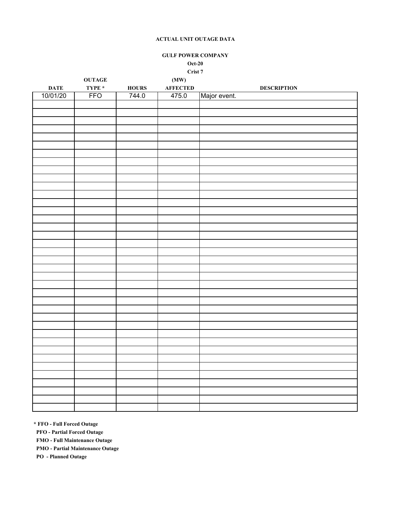**GULF POWER COMPANY Oct-20**

**Crist 7**

|             | <b>OUTAGE</b> |              | (MW)            |                    |
|-------------|---------------|--------------|-----------------|--------------------|
| <b>DATE</b> | TYPE $*$      | <b>HOURS</b> | <b>AFFECTED</b> | <b>DESCRIPTION</b> |
| 10/01/20    | <b>FFO</b>    | 744.0        | 475.0           | Major event.       |
|             |               |              |                 |                    |
|             |               |              |                 |                    |
|             |               |              |                 |                    |
|             |               |              |                 |                    |
|             |               |              |                 |                    |
|             |               |              |                 |                    |
|             |               |              |                 |                    |
|             |               |              |                 |                    |
|             |               |              |                 |                    |
|             |               |              |                 |                    |
|             |               |              |                 |                    |
|             |               |              |                 |                    |
|             |               |              |                 |                    |
|             |               |              |                 |                    |
|             |               |              |                 |                    |
|             |               |              |                 |                    |
|             |               |              |                 |                    |
|             |               |              |                 |                    |
|             |               |              |                 |                    |
|             |               |              |                 |                    |
|             |               |              |                 |                    |
|             |               |              |                 |                    |
|             |               |              |                 |                    |
|             |               |              |                 |                    |
|             |               |              |                 |                    |
|             |               |              |                 |                    |
|             |               |              |                 |                    |
|             |               |              |                 |                    |
|             |               |              |                 |                    |
|             |               |              |                 |                    |
|             |               |              |                 |                    |
|             |               |              |                 |                    |
|             |               |              |                 |                    |
|             |               |              |                 |                    |
|             |               |              |                 |                    |
|             |               |              |                 |                    |
|             |               |              |                 |                    |
|             |               |              |                 |                    |
|             |               |              |                 |                    |
|             |               |              |                 |                    |
|             |               |              |                 |                    |
|             |               |              |                 |                    |

**\* FFO - Full Forced Outage**

 **PFO - Partial Forced Outage**

 **FMO - Full Maintenance Outage**

 **PMO - Partial Maintenance Outage**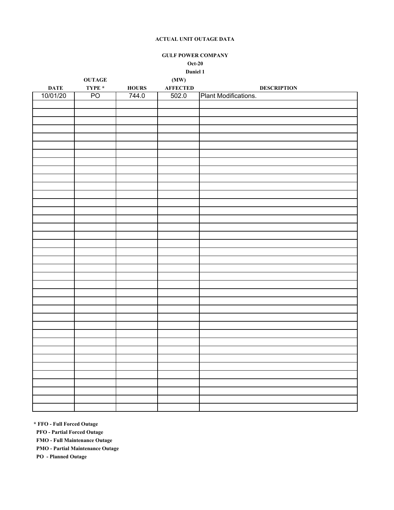**GULF POWER COMPANY Oct-20 Daniel 1**

|             | $\mathbf{OUTAGE}$                                                                                       |              | (MW)            |                      |
|-------------|---------------------------------------------------------------------------------------------------------|--------------|-----------------|----------------------|
| <b>DATE</b> | $\ensuremath{\mathbf{T}}\ensuremath{\mathbf{Y}}\ensuremath{\mathbf{P}}\ensuremath{\mathbf{E}}\xspace$ * | <b>HOURS</b> | <b>AFFECTED</b> | <b>DESCRIPTION</b>   |
| 10/01/20    | PO <sub></sub>                                                                                          | 744.0        | 502.0           | Plant Modifications. |
|             |                                                                                                         |              |                 |                      |
|             |                                                                                                         |              |                 |                      |
|             |                                                                                                         |              |                 |                      |
|             |                                                                                                         |              |                 |                      |
|             |                                                                                                         |              |                 |                      |
|             |                                                                                                         |              |                 |                      |
|             |                                                                                                         |              |                 |                      |
|             |                                                                                                         |              |                 |                      |
|             |                                                                                                         |              |                 |                      |
|             |                                                                                                         |              |                 |                      |
|             |                                                                                                         |              |                 |                      |
|             |                                                                                                         |              |                 |                      |
|             |                                                                                                         |              |                 |                      |
|             |                                                                                                         |              |                 |                      |
|             |                                                                                                         |              |                 |                      |
|             |                                                                                                         |              |                 |                      |
|             |                                                                                                         |              |                 |                      |
|             |                                                                                                         |              |                 |                      |
|             |                                                                                                         |              |                 |                      |
|             |                                                                                                         |              |                 |                      |
|             |                                                                                                         |              |                 |                      |
|             |                                                                                                         |              |                 |                      |
|             |                                                                                                         |              |                 |                      |
|             |                                                                                                         |              |                 |                      |
|             |                                                                                                         |              |                 |                      |
|             |                                                                                                         |              |                 |                      |
|             |                                                                                                         |              |                 |                      |
|             |                                                                                                         |              |                 |                      |
|             |                                                                                                         |              |                 |                      |
|             |                                                                                                         |              |                 |                      |
|             |                                                                                                         |              |                 |                      |
|             |                                                                                                         |              |                 |                      |
|             |                                                                                                         |              |                 |                      |
|             |                                                                                                         |              |                 |                      |
|             |                                                                                                         |              |                 |                      |
|             |                                                                                                         |              |                 |                      |
|             |                                                                                                         |              |                 |                      |
|             |                                                                                                         |              |                 |                      |
|             |                                                                                                         |              |                 |                      |

**\* FFO - Full Forced Outage**

 **PFO - Partial Forced Outage**

 **FMO - Full Maintenance Outage**

 **PMO - Partial Maintenance Outage**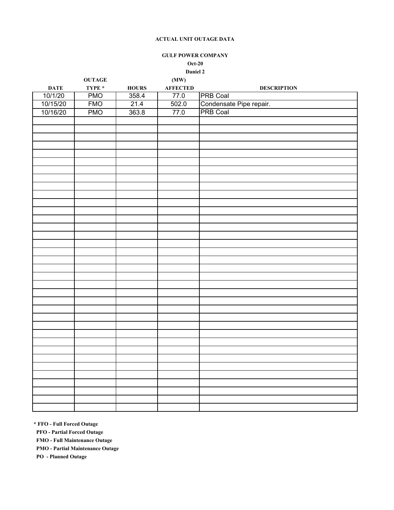## **GULF POWER COMPANY Oct-20 Daniel 2**

| TYPE $*$<br><b>AFFECTED</b><br>${\bf HOLRS}$<br>$\mathbf{DATE}$<br><b>DESCRIPTION</b><br><b>PRB Coal</b><br>10/1/20<br><b>PMO</b><br>358.4<br>77.0<br>Condensate Pipe repair.<br>PRB Coal<br><b>FMO</b><br>10/15/20<br>21.4<br>502.0<br>363.8<br>10/16/20<br><b>PMO</b><br>77.0 | $\mathbf{OUTAGE}$ | (MW) |  |
|---------------------------------------------------------------------------------------------------------------------------------------------------------------------------------------------------------------------------------------------------------------------------------|-------------------|------|--|
|                                                                                                                                                                                                                                                                                 |                   |      |  |
|                                                                                                                                                                                                                                                                                 |                   |      |  |
|                                                                                                                                                                                                                                                                                 |                   |      |  |
|                                                                                                                                                                                                                                                                                 |                   |      |  |
|                                                                                                                                                                                                                                                                                 |                   |      |  |
|                                                                                                                                                                                                                                                                                 |                   |      |  |
|                                                                                                                                                                                                                                                                                 |                   |      |  |
|                                                                                                                                                                                                                                                                                 |                   |      |  |
|                                                                                                                                                                                                                                                                                 |                   |      |  |
|                                                                                                                                                                                                                                                                                 |                   |      |  |
|                                                                                                                                                                                                                                                                                 |                   |      |  |
|                                                                                                                                                                                                                                                                                 |                   |      |  |
|                                                                                                                                                                                                                                                                                 |                   |      |  |
|                                                                                                                                                                                                                                                                                 |                   |      |  |
|                                                                                                                                                                                                                                                                                 |                   |      |  |
|                                                                                                                                                                                                                                                                                 |                   |      |  |
|                                                                                                                                                                                                                                                                                 |                   |      |  |
|                                                                                                                                                                                                                                                                                 |                   |      |  |
|                                                                                                                                                                                                                                                                                 |                   |      |  |
|                                                                                                                                                                                                                                                                                 |                   |      |  |
|                                                                                                                                                                                                                                                                                 |                   |      |  |
|                                                                                                                                                                                                                                                                                 |                   |      |  |
|                                                                                                                                                                                                                                                                                 |                   |      |  |
|                                                                                                                                                                                                                                                                                 |                   |      |  |
|                                                                                                                                                                                                                                                                                 |                   |      |  |
|                                                                                                                                                                                                                                                                                 |                   |      |  |
|                                                                                                                                                                                                                                                                                 |                   |      |  |
|                                                                                                                                                                                                                                                                                 |                   |      |  |
|                                                                                                                                                                                                                                                                                 |                   |      |  |
|                                                                                                                                                                                                                                                                                 |                   |      |  |
|                                                                                                                                                                                                                                                                                 |                   |      |  |
|                                                                                                                                                                                                                                                                                 |                   |      |  |
|                                                                                                                                                                                                                                                                                 |                   |      |  |
|                                                                                                                                                                                                                                                                                 |                   |      |  |
|                                                                                                                                                                                                                                                                                 |                   |      |  |
|                                                                                                                                                                                                                                                                                 |                   |      |  |
|                                                                                                                                                                                                                                                                                 |                   |      |  |
|                                                                                                                                                                                                                                                                                 |                   |      |  |
|                                                                                                                                                                                                                                                                                 |                   |      |  |
|                                                                                                                                                                                                                                                                                 |                   |      |  |

**\* FFO - Full Forced Outage**

 **PFO - Partial Forced Outage**

 **FMO - Full Maintenance Outage**

 **PMO - Partial Maintenance Outage**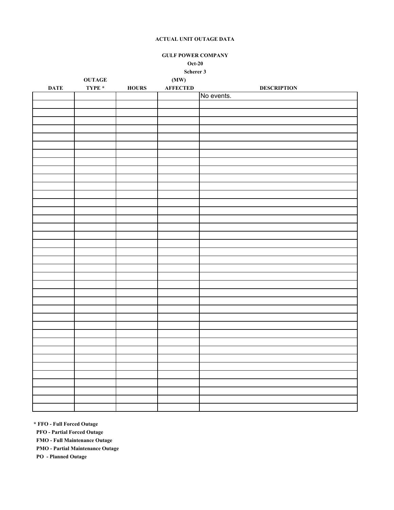**GULF POWER COMPANY Oct-20**

**Scherer 3**

|                 | $\mathbf{OUTAGE}$ |               | (MW)            |                    |
|-----------------|-------------------|---------------|-----------------|--------------------|
| $\mathbf{DATE}$ | TYPE $^\star$     | ${\bf HOLRS}$ | <b>AFFECTED</b> | <b>DESCRIPTION</b> |
|                 |                   |               |                 | No events.         |
|                 |                   |               |                 |                    |
|                 |                   |               |                 |                    |
|                 |                   |               |                 |                    |
|                 |                   |               |                 |                    |
|                 |                   |               |                 |                    |
|                 |                   |               |                 |                    |
|                 |                   |               |                 |                    |
|                 |                   |               |                 |                    |
|                 |                   |               |                 |                    |
|                 |                   |               |                 |                    |
|                 |                   |               |                 |                    |
|                 |                   |               |                 |                    |
|                 |                   |               |                 |                    |
|                 |                   |               |                 |                    |
|                 |                   |               |                 |                    |
|                 |                   |               |                 |                    |
|                 |                   |               |                 |                    |
|                 |                   |               |                 |                    |
|                 |                   |               |                 |                    |
|                 |                   |               |                 |                    |
|                 |                   |               |                 |                    |
|                 |                   |               |                 |                    |
|                 |                   |               |                 |                    |
|                 |                   |               |                 |                    |
|                 |                   |               |                 |                    |
|                 |                   |               |                 |                    |
|                 |                   |               |                 |                    |
|                 |                   |               |                 |                    |
|                 |                   |               |                 |                    |
|                 |                   |               |                 |                    |
|                 |                   |               |                 |                    |
|                 |                   |               |                 |                    |
|                 |                   |               |                 |                    |
|                 |                   |               |                 |                    |
|                 |                   |               |                 |                    |
|                 |                   |               |                 |                    |
|                 |                   |               |                 |                    |
|                 |                   |               |                 |                    |

**\* FFO - Full Forced Outage**

 **PFO - Partial Forced Outage**

 **FMO - Full Maintenance Outage**

 **PMO - Partial Maintenance Outage**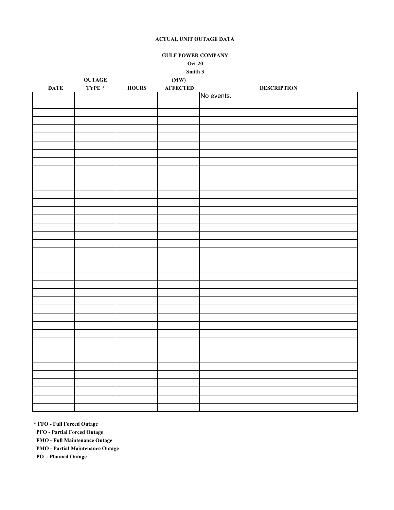## **GULF POWER COMPANY Oct-20 Smith 3**

|             | $\mathbf{OUTAGE}$                                                                                       |               | (MW)            |                    |
|-------------|---------------------------------------------------------------------------------------------------------|---------------|-----------------|--------------------|
| <b>DATE</b> | $\ensuremath{\mathbf{T}}\ensuremath{\mathbf{Y}}\ensuremath{\mathbf{P}}\ensuremath{\mathbf{E}}\xspace$ * | ${\bf HOLRS}$ | <b>AFFECTED</b> | <b>DESCRIPTION</b> |
|             |                                                                                                         |               |                 | No events.         |
|             |                                                                                                         |               |                 |                    |
|             |                                                                                                         |               |                 |                    |
|             |                                                                                                         |               |                 |                    |
|             |                                                                                                         |               |                 |                    |
|             |                                                                                                         |               |                 |                    |
|             |                                                                                                         |               |                 |                    |
|             |                                                                                                         |               |                 |                    |
|             |                                                                                                         |               |                 |                    |
|             |                                                                                                         |               |                 |                    |
|             |                                                                                                         |               |                 |                    |
|             |                                                                                                         |               |                 |                    |
|             |                                                                                                         |               |                 |                    |
|             |                                                                                                         |               |                 |                    |
|             |                                                                                                         |               |                 |                    |
|             |                                                                                                         |               |                 |                    |
|             |                                                                                                         |               |                 |                    |
|             |                                                                                                         |               |                 |                    |
|             |                                                                                                         |               |                 |                    |
|             |                                                                                                         |               |                 |                    |
|             |                                                                                                         |               |                 |                    |
|             |                                                                                                         |               |                 |                    |
|             |                                                                                                         |               |                 |                    |
|             |                                                                                                         |               |                 |                    |
|             |                                                                                                         |               |                 |                    |
|             |                                                                                                         |               |                 |                    |
|             |                                                                                                         |               |                 |                    |
|             |                                                                                                         |               |                 |                    |
|             |                                                                                                         |               |                 |                    |
|             |                                                                                                         |               |                 |                    |
|             |                                                                                                         |               |                 |                    |
|             |                                                                                                         |               |                 |                    |
|             |                                                                                                         |               |                 |                    |
|             |                                                                                                         |               |                 |                    |
|             |                                                                                                         |               |                 |                    |
|             |                                                                                                         |               |                 |                    |
|             |                                                                                                         |               |                 |                    |
|             |                                                                                                         |               |                 |                    |
|             |                                                                                                         |               |                 |                    |
|             |                                                                                                         |               |                 |                    |
|             |                                                                                                         |               |                 |                    |
|             |                                                                                                         |               |                 |                    |

**\* FFO - Full Forced Outage**

 **PFO - Partial Forced Outage**

 **FMO - Full Maintenance Outage**

 **PMO - Partial Maintenance Outage**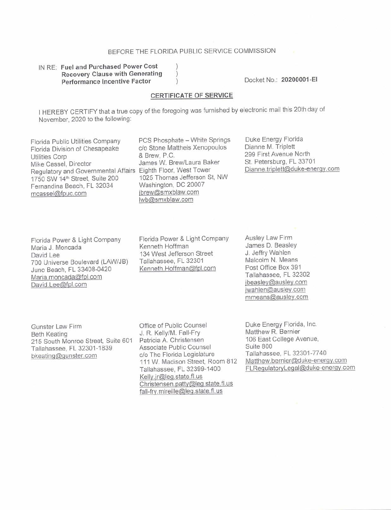## BEFORE THE FLORIDA PUBLIC SERVICE COMMISSION

## IN RE: Fuel and Purchased Power Cost Recovery Clause with Generating Performance Incentive Factor

Docket No.: 20200001-EI

## **CERTIFICATE OF SERVICE**

I HEREBY CERTIFY that a true copy of the foregoing was furnished by electronic mail this 20th day of November, 2020 to the following:

Florida Public Utilities Company PCS Phosphate - White Springs<br>Florida Division of Chesapeake c/o Stone Mattheis Xenopoulos Florida Division of Chesapeake c/o Stone Matthew Corpor & Brew, P.C. Utilities Corp<br>Mike Cassel, Director Regulatory and Governmental Affairs Eighth Floor, West Tower<br>1750 SW 14<sup>th</sup> Street, Suite 200 1025 Thomas Jefferson St, NW 1750 SW 14<sup>th</sup> Street, Suite 200 1025 Thomas Jefferson<br>
Fernandina Beach FL 32034 Washington, DC 20007 Fernandina Beach, FL 32034 Washington, DC 2000<br>meassel@fpuc.com ibrew@smxblaw.com mcassel@fpuc.com

James W. Brew/Laura Baker lwb@smxblaw.com

Duke Energy Florida Dianne M. Triplett 299 First Avenue North St. Petersburg, FL 33701 Dianne. triplett@duke-enerqy.com

Florida Power & Light Company Maria J. Moncada David Lee 700 Universe Boulevard (LAW/JB) Juno Beach, FL 33408-0420 Maria.moncada@fpl.com David.Lee@fpl.com

Florida Power & Light Company Kenneth Hoffman 134 West Jefferson Street Tallahassee, FL 32301 Kenneth.Hoffrnan@fpl.com

Ausley Law Firm James D. Beasley J. Jeffry Wahlen Malcolm N. Means Post Office Box 391 Tallahassee, FL 32302 ibeasley@ausley.com jwahlen@ausley.com mmeans@ausley.com

Gunster Law Firm Beth Keating 215 South Monroe Street. Suite 601 Tallahassee, FL 32301-1839 bkeating@gunster.com

Office of Public Counsel J. R. Kelly/M. Fall-Fry Patricia A. Christensen Associate Public Counsel c/o The Florida Legislature 111 W. Madison Street, Room 8'12 Tallahassee, FL 32399-1400 Kelly.jr@leg.state.fl.us Christensen.patty@leg.state.fl.us fall-fry. mireille@leq.state. fl. us

Duke Energy Florida, Inc. Matthew R. Bernier 106 East College Avenue. Suite 800 Tallahassee, FL 32301 -7740 Matthew.bcrnier@duke-enerqy.com FLRequlatoryLeqal@duke-energy.com